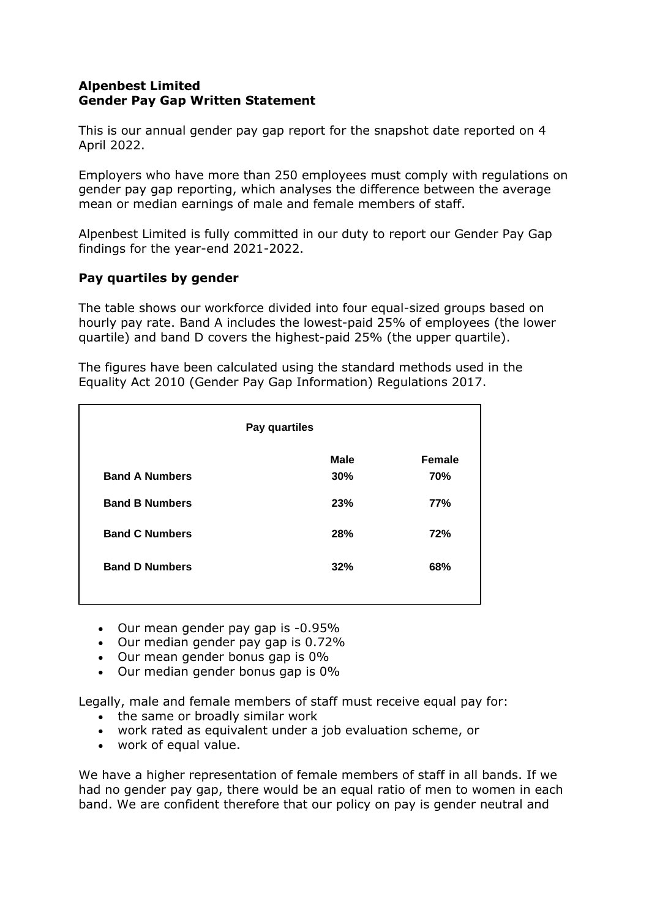## **Alpenbest Limited Gender Pay Gap Written Statement**

This is our annual gender pay gap report for the snapshot date reported on 4 April 2022.

Employers who have more than 250 employees must comply with regulations on gender pay gap reporting, which analyses the difference between the average mean or median earnings of male and female members of staff.

Alpenbest Limited is fully committed in our duty to report our Gender Pay Gap findings for the year-end 2021-2022.

## **Pay quartiles by gender**

The table shows our workforce divided into four equal-sized groups based on hourly pay rate. Band A includes the lowest-paid 25% of employees (the lower quartile) and band D covers the highest-paid 25% (the upper quartile).

The figures have been calculated using the standard methods used in the Equality Act 2010 (Gender Pay Gap Information) Regulations 2017.

| Pay quartiles         |             |               |
|-----------------------|-------------|---------------|
|                       | <b>Male</b> | <b>Female</b> |
| <b>Band A Numbers</b> | 30%         | 70%           |
| <b>Band B Numbers</b> | 23%         | <b>77%</b>    |
| <b>Band C Numbers</b> | 28%         | 72%           |
| <b>Band D Numbers</b> | 32%         | 68%           |
|                       |             |               |

- Our mean gender pay gap is -0.95%
- Our median gender pay gap is 0.72%
- Our mean gender bonus gap is 0%
- Our median gender bonus gap is 0%

Legally, male and female members of staff must receive equal pay for:

- the same or broadly similar work
- work rated as equivalent under a job evaluation scheme, or
- work of equal value.

We have a higher representation of female members of staff in all bands. If we had no gender pay gap, there would be an equal ratio of men to women in each band. We are confident therefore that our policy on pay is gender neutral and